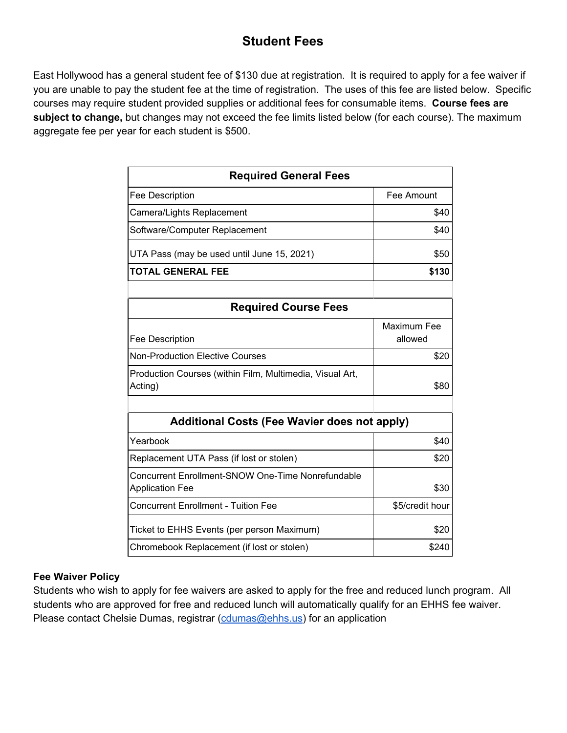## **Student Fees**

East Hollywood has a general student fee of \$130 due at registration. It is required to apply for a fee waiver if you are unable to pay the student fee at the time of registration. The uses of this fee are listed below. Specific courses may require student provided supplies or additional fees for consumable items. **Course fees are subject to change,** but changes may not exceed the fee limits listed below (for each course). The maximum aggregate fee per year for each student is \$500.

| <b>Required General Fees</b>                                                |                        |  |  |
|-----------------------------------------------------------------------------|------------------------|--|--|
| Fee Description                                                             | Fee Amount             |  |  |
| Camera/Lights Replacement                                                   | \$40                   |  |  |
| Software/Computer Replacement                                               | \$40                   |  |  |
| UTA Pass (may be used until June 15, 2021)                                  | \$50                   |  |  |
| <b>TOTAL GENERAL FEE</b>                                                    | \$130                  |  |  |
|                                                                             |                        |  |  |
| <b>Required Course Fees</b>                                                 |                        |  |  |
| Fee Description                                                             | Maximum Fee<br>allowed |  |  |
| <b>Non-Production Elective Courses</b>                                      | \$20                   |  |  |
| Production Courses (within Film, Multimedia, Visual Art,<br>Acting)         | \$80                   |  |  |
|                                                                             |                        |  |  |
| <b>Additional Costs (Fee Wavier does not apply)</b>                         |                        |  |  |
| Yearbook                                                                    | \$40                   |  |  |
| Replacement UTA Pass (if lost or stolen)                                    | \$20                   |  |  |
| Concurrent Enrollment-SNOW One-Time Nonrefundable<br><b>Application Fee</b> | \$30                   |  |  |
| <b>Concurrent Enrollment - Tuition Fee</b>                                  | \$5/credit hour        |  |  |
| Ticket to EHHS Events (per person Maximum)                                  | \$20                   |  |  |
| Chromebook Replacement (if lost or stolen)                                  | \$240                  |  |  |

## **Fee Waiver Policy**

Students who wish to apply for fee waivers are asked to apply for the free and reduced lunch program. All students who are approved for free and reduced lunch will automatically qualify for an EHHS fee waiver. Please contact Chelsie Dumas, registrar [\(cdumas@ehhs.us\)](mailto:cdumas@ehhs.us) for an application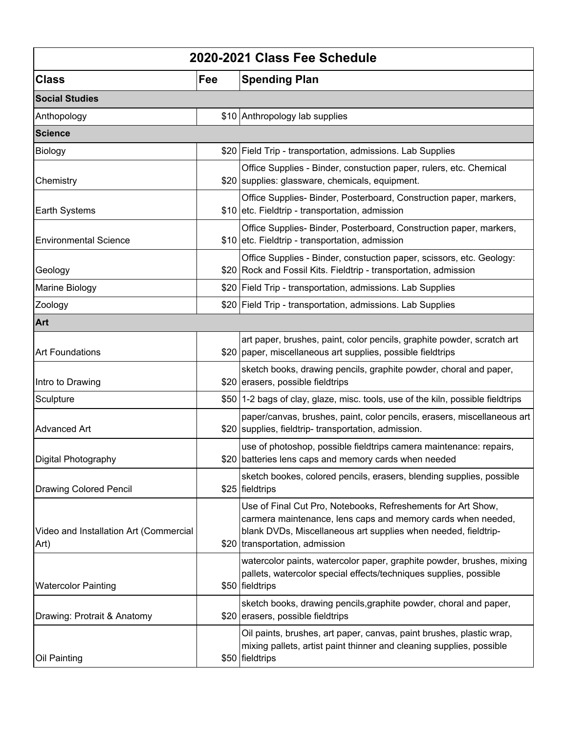| 2020-2021 Class Fee Schedule                   |     |                                                                                                                                                                                                                                  |  |
|------------------------------------------------|-----|----------------------------------------------------------------------------------------------------------------------------------------------------------------------------------------------------------------------------------|--|
| <b>Class</b>                                   | Fee | <b>Spending Plan</b>                                                                                                                                                                                                             |  |
| <b>Social Studies</b>                          |     |                                                                                                                                                                                                                                  |  |
| Anthopology                                    |     | \$10 Anthropology lab supplies                                                                                                                                                                                                   |  |
| <b>Science</b>                                 |     |                                                                                                                                                                                                                                  |  |
| Biology                                        |     | \$20 Field Trip - transportation, admissions. Lab Supplies                                                                                                                                                                       |  |
| Chemistry                                      |     | Office Supplies - Binder, constuction paper, rulers, etc. Chemical<br>\$20   supplies: glassware, chemicals, equipment.                                                                                                          |  |
| Earth Systems                                  |     | Office Supplies-Binder, Posterboard, Construction paper, markers,<br>\$10 etc. Fieldtrip - transportation, admission                                                                                                             |  |
| <b>Environmental Science</b>                   |     | Office Supplies-Binder, Posterboard, Construction paper, markers,<br>\$10 etc. Fieldtrip - transportation, admission                                                                                                             |  |
| Geology                                        |     | Office Supplies - Binder, constuction paper, scissors, etc. Geology:<br>\$20 Rock and Fossil Kits. Fieldtrip - transportation, admission                                                                                         |  |
| Marine Biology                                 |     | \$20 Field Trip - transportation, admissions. Lab Supplies                                                                                                                                                                       |  |
| Zoology                                        |     | \$20 Field Trip - transportation, admissions. Lab Supplies                                                                                                                                                                       |  |
| Art                                            |     |                                                                                                                                                                                                                                  |  |
| <b>Art Foundations</b>                         |     | art paper, brushes, paint, color pencils, graphite powder, scratch art<br>\$20 paper, miscellaneous art supplies, possible fieldtrips                                                                                            |  |
| Intro to Drawing                               |     | sketch books, drawing pencils, graphite powder, choral and paper,<br>\$20 erasers, possible fieldtrips                                                                                                                           |  |
| Sculpture                                      |     | \$50   1-2 bags of clay, glaze, misc. tools, use of the kiln, possible fieldtrips                                                                                                                                                |  |
| <b>Advanced Art</b>                            |     | paper/canvas, brushes, paint, color pencils, erasers, miscellaneous art<br>\$20 supplies, fieldtrip-transportation, admission.                                                                                                   |  |
| Digital Photography                            |     | use of photoshop, possible fieldtrips camera maintenance: repairs,<br>\$20 batteries lens caps and memory cards when needed                                                                                                      |  |
| <b>Drawing Colored Pencil</b>                  |     | sketch bookes, colored pencils, erasers, blending supplies, possible<br>\$25 fieldtrips                                                                                                                                          |  |
| Video and Installation Art (Commercial<br>Art) |     | Use of Final Cut Pro, Notebooks, Refreshements for Art Show,<br>carmera maintenance, lens caps and memory cards when needed,<br>blank DVDs, Miscellaneous art supplies when needed, fieldtrip-<br>\$20 transportation, admission |  |
| <b>Watercolor Painting</b>                     |     | watercolor paints, watercolor paper, graphite powder, brushes, mixing<br>pallets, watercolor special effects/techniques supplies, possible<br>\$50 fieldtrips                                                                    |  |
| Drawing: Protrait & Anatomy                    |     | sketch books, drawing pencils, graphite powder, choral and paper,<br>\$20 erasers, possible field trips                                                                                                                          |  |
| Oil Painting                                   |     | Oil paints, brushes, art paper, canvas, paint brushes, plastic wrap,<br>mixing pallets, artist paint thinner and cleaning supplies, possible<br>\$50 fieldtrips                                                                  |  |